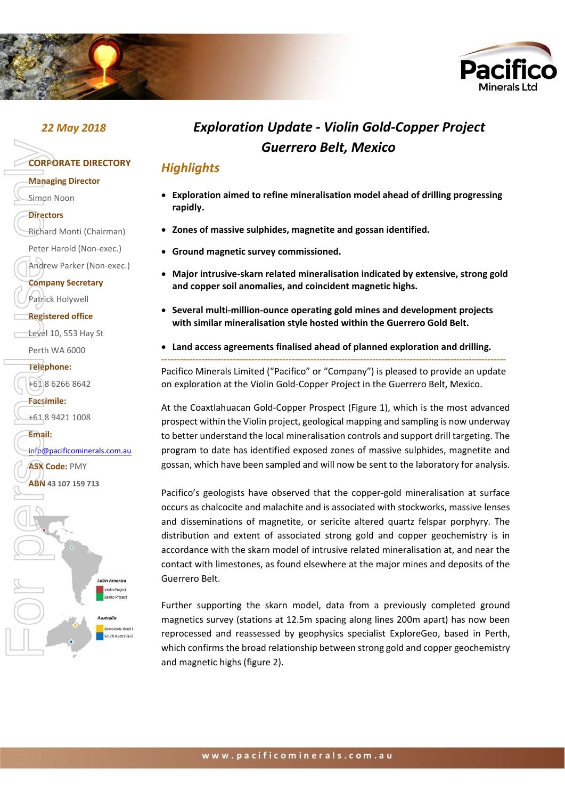



# **CORPORATE DIRECTORY Managing Director**

- Simon Noon
- **Directors**

Richard Monti (Chairman)

Peter Harold (Non‐exec.)

Andrew Parker (Non‐exec.)

**Company Secretary** 

Patrick Holywell

#### **Registered office**

Level 10, 553 Hay St

Perth WA 6000

**Telephone:** 

 $+61862668642$ 

**Facsimile:** 

+61 8 9421 1008



# *22 May 2018 Exploration Update ‐ Violin Gold‐Copper Project Guerrero Belt, Mexico*

### *Highlights*

- **Exploration aimed to refine mineralisation model ahead of drilling progressing rapidly.**
- **Zones of massive sulphides, magnetite and gossan identified.**
- **Ground magnetic survey commissioned.**
- **Major intrusive‐skarn related mineralisation indicated by extensive, strong gold and copper soil anomalies, and coincident magnetic highs.**
- **Several multi‐million‐ounce operating gold mines and development projects with similar mineralisation style hosted within the Guerrero Gold Belt.**
- **Land access agreements finalised ahead of planned exploration and drilling.**

*‐‐‐‐‐‐‐‐‐‐‐‐‐‐‐‐‐‐‐‐‐‐‐‐‐‐‐‐‐‐‐‐‐‐‐‐‐‐‐‐‐‐‐‐‐‐‐‐‐‐‐‐‐‐‐‐‐‐‐‐‐‐‐‐‐‐‐‐‐‐‐‐‐‐‐‐‐‐‐‐‐‐‐‐‐‐‐‐‐‐‐‐‐‐‐‐‐‐‐‐‐‐‐‐‐‐‐‐‐‐‐* Pacifico Minerals Limited ("Pacifico" or "Company") is pleased to provide an update on exploration at the Violin Gold‐Copper Project in the Guerrero Belt, Mexico.

At the Coaxtlahuacan Gold‐Copper Prospect (Figure 1), which is the most advanced prospect within the Violin project, geological mapping and sampling is now underway to better understand the local mineralisation controls and support drill targeting. The program to date has identified exposed zones of massive sulphides, magnetite and gossan, which have been sampled and will now be sent to the laboratory for analysis.

Pacifico's geologists have observed that the copper-gold mineralisation at surface occurs as chalcocite and malachite and is associated with stockworks, massive lenses and disseminations of magnetite, or sericite altered quartz felspar porphyry. The distribution and extent of associated strong gold and copper geochemistry is in accordance with the skarn model of intrusive related mineralisation at, and near the contact with limestones, as found elsewhere at the major mines and deposits of the Guerrero Belt.

Further supporting the skarn model, data from a previously completed ground magnetics survey (stations at 12.5m spacing along lines 200m apart) has now been reprocessed and reassessed by geophysics specialist ExploreGeo, based in Perth, which confirms the broad relationship between strong gold and copper geochemistry and magnetic highs (figure 2).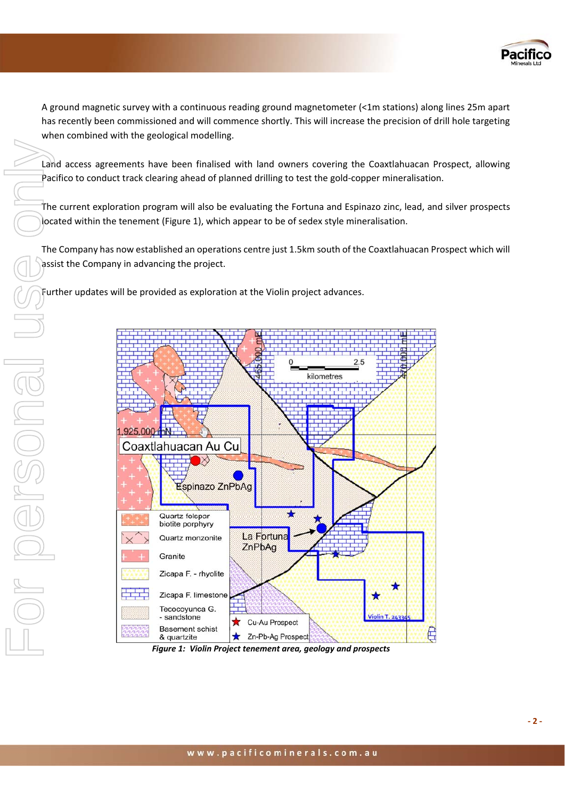

A ground magnetic survey with a continuous reading ground magnetometer (<1m stations) along lines 25m apart has recently been commissioned and will commence shortly. This will increase the precision of drill hole targeting when combined with the geological modelling.

Land access agreements have been finalised with land owners covering the Coaxtlahuacan Prospect, allowing Pacifico to conduct track clearing ahead of planned drilling to test the gold‐copper mineralisation.

The current exploration program will also be evaluating the Fortuna and Espinazo zinc, lead, and silver prospects located within the tenement (Figure 1), which appear to be of sedex style mineralisation.

The Company has now established an operations centre just 1.5km south of the Coaxtlahuacan Prospect which will assist the Company in advancing the project.

Further updates will be provided as exploration at the Violin project advances.



 *Violin Project tenement area, geology and prospects*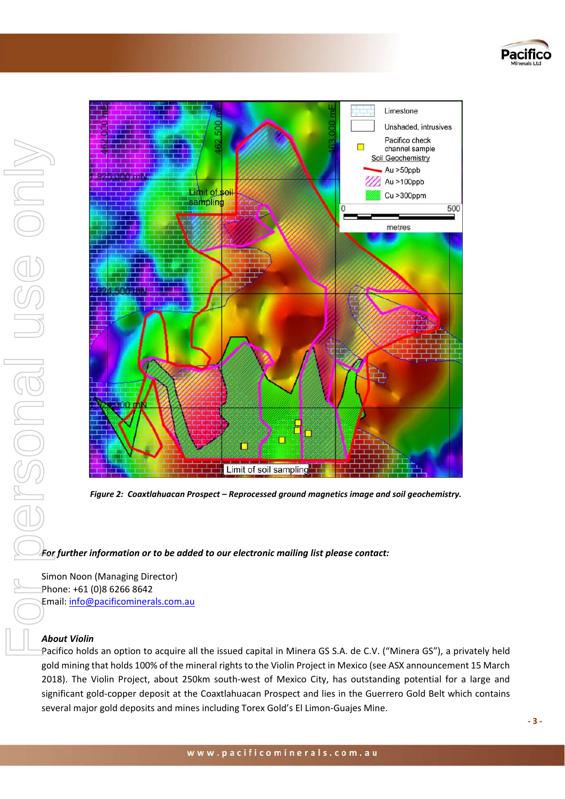



*Figure 2: Coaxtlahuacan Prospect – Reprocessed ground magnetics image and soil geochemistry.* 

#### *For further information or to be added to our electronic mailing list please contact:*

Simon Noon (Managing Director) Phone: +61 (0)8 6266 8642 Email: info@pacificominerals.com.au

#### *About Violin*

Pacifico holds an option to acquire all the issued capital in Minera GS S.A. de C.V. ("Minera GS"), a privately held gold mining that holds 100% of the mineral rights to the Violin Project in Mexico (see ASX announcement 15 March 2018). The Violin Project, about 250km south-west of Mexico City, has outstanding potential for a large and significant gold‐copper deposit at the Coaxtlahuacan Prospect and lies in the Guerrero Gold Belt which contains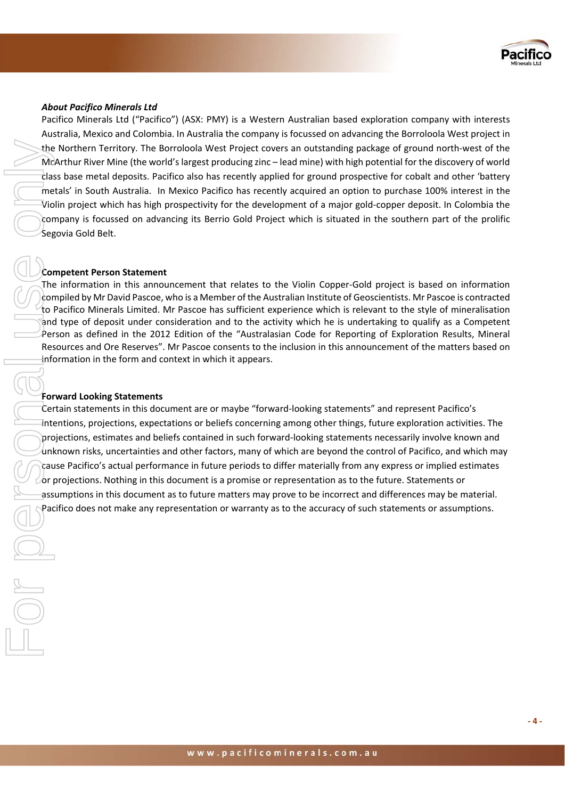

#### *About Pacifico Minerals Ltd*

Pacifico Minerals Ltd ("Pacifico") (ASX: PMY) is a Western Australian based exploration company with interests Australia, Mexico and Colombia. In Australia the company is focussed on advancing the Borroloola West project in the Northern Territory. The Borroloola West Project covers an outstanding package of ground north‐west of the McArthur River Mine (the world's largest producing zinc – lead mine) with high potential for the discovery of world class base metal deposits. Pacifico also has recently applied for ground prospective for cobalt and other 'battery metals' in South Australia. In Mexico Pacifico has recently acquired an option to purchase 100% interest in the Violin project which has high prospectivity for the development of a major gold‐copper deposit. In Colombia the company is focussed on advancing its Berrio Gold Project which is situated in the southern part of the prolific Segovia Gold Belt.

#### **Competent Person Statement**

The information in this announcement that relates to the Violin Copper‐Gold project is based on information compiled by Mr David Pascoe, who is a Member of the Australian Institute of Geoscientists. Mr Pascoe is contracted to Pacifico Minerals Limited. Mr Pascoe has sufficient experience which is relevant to the style of mineralisation and type of deposit under consideration and to the activity which he is undertaking to qualify as a Competent Person as defined in the 2012 Edition of the "Australasian Code for Reporting of Exploration Results, Mineral Resources and Ore Reserves". Mr Pascoe consents to the inclusion in this announcement of the matters based on information in the form and context in which it appears.

#### **Forward Looking Statements**

Certain statements in this document are or maybe "forward‐looking statements" and represent Pacifico's intentions, projections, expectations or beliefs concerning among other things, future exploration activities. The projections, estimates and beliefs contained in such forward‐looking statements necessarily involve known and unknown risks, uncertainties and other factors, many of which are beyond the control of Pacifico, and which may cause Pacifico's actual performance in future periods to differ materially from any express or implied estimates or projections. Nothing in this document is a promise or representation as to the future. Statements or assumptions in this document as to future matters may prove to be incorrect and differences may be material. Pacifico does not make any representation or warranty as to the accuracy of such statements or assumptions.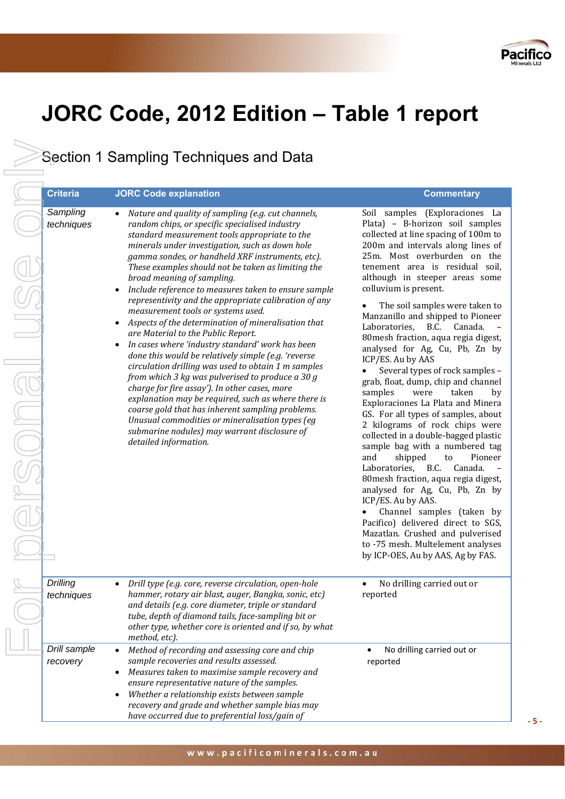

# **JORC Code, 2012 Edition – Table 1 report**

Section 1 Sampling Techniques and Data

Sect<br>
Constant Constant Constant<br>
For Point Section<br>
For Point Section<br>
For Point Section<br>
For Point Section<br>
For Point Section<br>
For Point Section<br>
For Point Section<br>
For Point Section<br>
For Point Section<br>
For Point Section *Sampling*  FSONGI *Drilling* 

| <b>Criteria</b>               | <b>JORC Code explanation</b>                                                                                                                                                                                                                                                                                                                                                                                                                                                                                                                                                                                                                                                                                                                                                                                                                                                                                                                                                                                                                                                                                                      | <b>Commentary</b>                                                                                                                                                                                                                                                                                                                                                                                                                                                                                                                                                                                                                                                                                                                                                                                                                                                                                                                                                                                                                                                                                                                                             |
|-------------------------------|-----------------------------------------------------------------------------------------------------------------------------------------------------------------------------------------------------------------------------------------------------------------------------------------------------------------------------------------------------------------------------------------------------------------------------------------------------------------------------------------------------------------------------------------------------------------------------------------------------------------------------------------------------------------------------------------------------------------------------------------------------------------------------------------------------------------------------------------------------------------------------------------------------------------------------------------------------------------------------------------------------------------------------------------------------------------------------------------------------------------------------------|---------------------------------------------------------------------------------------------------------------------------------------------------------------------------------------------------------------------------------------------------------------------------------------------------------------------------------------------------------------------------------------------------------------------------------------------------------------------------------------------------------------------------------------------------------------------------------------------------------------------------------------------------------------------------------------------------------------------------------------------------------------------------------------------------------------------------------------------------------------------------------------------------------------------------------------------------------------------------------------------------------------------------------------------------------------------------------------------------------------------------------------------------------------|
| Sampling<br>techniques        | Nature and quality of sampling (e.g. cut channels,<br>random chips, or specific specialised industry<br>standard measurement tools appropriate to the<br>minerals under investigation, such as down hole<br>gamma sondes, or handheld XRF instruments, etc).<br>These examples should not be taken as limiting the<br>broad meaning of sampling.<br>Include reference to measures taken to ensure sample<br>representivity and the appropriate calibration of any<br>measurement tools or systems used.<br>Aspects of the determination of mineralisation that<br>are Material to the Public Report.<br>In cases where 'industry standard' work has been<br>$\bullet$<br>done this would be relatively simple (e.g. 'reverse<br>circulation drilling was used to obtain 1 m samples<br>from which 3 kg was pulverised to produce a 30 $g$<br>charge for fire assay'). In other cases, more<br>explanation may be required, such as where there is<br>coarse gold that has inherent sampling problems.<br>Unusual commodities or mineralisation types (eg<br>submarine nodules) may warrant disclosure of<br>detailed information. | Soil samples (Exploraciones La<br>Plata) - B-horizon soil samples<br>collected at line spacing of 100m to<br>200m and intervals along lines of<br>25m. Most overburden on the<br>tenement area is residual soil,<br>although in steeper areas some<br>colluvium is present.<br>The soil samples were taken to<br>Manzanillo and shipped to Pioneer<br>Laboratories,<br>B.C.<br>Canada.<br>80mesh fraction, aqua regia digest,<br>analysed for Ag, Cu, Pb, Zn by<br>ICP/ES. Au by AAS<br>Several types of rock samples -<br>$\bullet$<br>grab, float, dump, chip and channel<br>samples<br>were<br>taken<br>by<br>Exploraciones La Plata and Minera<br>GS. For all types of samples, about<br>2 kilograms of rock chips were<br>collected in a double-bagged plastic<br>sample bag with a numbered tag<br>and<br>shipped<br>to<br>Pioneer<br>B.C.<br>Laboratories,<br>Canada.<br>80 mesh fraction, aqua regia digest,<br>analysed for Ag, Cu, Pb, Zn by<br>ICP/ES. Au by AAS.<br>Channel samples (taken by<br>Pacifico) delivered direct to SGS,<br>Mazatlan. Crushed and pulverised<br>to -75 mesh. Multelement analyses<br>by ICP-OES, Au by AAS, Ag by FAS. |
| <b>Drilling</b><br>techniques | Drill type (e.g. core, reverse circulation, open-hole<br>hammer, rotary air blast, auger, Bangka, sonic, etc)<br>and details (e.g. core diameter, triple or standard<br>tube, depth of diamond tails, face-sampling bit or<br>other type, whether core is oriented and if so, by what<br>method, etc).                                                                                                                                                                                                                                                                                                                                                                                                                                                                                                                                                                                                                                                                                                                                                                                                                            | No drilling carried out or<br>$\bullet$<br>reported                                                                                                                                                                                                                                                                                                                                                                                                                                                                                                                                                                                                                                                                                                                                                                                                                                                                                                                                                                                                                                                                                                           |
| Drill sample<br>recovery      | Method of recording and assessing core and chip<br>sample recoveries and results assessed.<br>Measures taken to maximise sample recovery and<br>ensure representative nature of the samples.<br>Whether a relationship exists between sample<br>recovery and grade and whether sample bias may<br>have occurred due to preferential loss/gain of                                                                                                                                                                                                                                                                                                                                                                                                                                                                                                                                                                                                                                                                                                                                                                                  | No drilling carried out or<br>reported                                                                                                                                                                                                                                                                                                                                                                                                                                                                                                                                                                                                                                                                                                                                                                                                                                                                                                                                                                                                                                                                                                                        |

**‐ 5 ‐**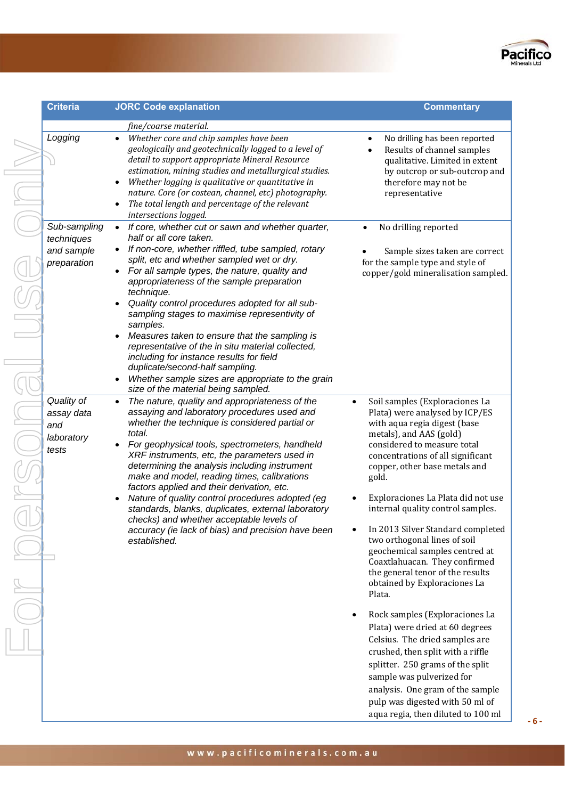

| <b>Criteria</b>                                         | <b>JORC Code explanation</b>                                                                                                                                                                                                                                                                                                                                                                                                                                                                                                                                                                                                                                                                               | <b>Commentary</b>                                                                                                                                                                                                                                                                                                                                                                                                                                                                                                                                                                                                               |
|---------------------------------------------------------|------------------------------------------------------------------------------------------------------------------------------------------------------------------------------------------------------------------------------------------------------------------------------------------------------------------------------------------------------------------------------------------------------------------------------------------------------------------------------------------------------------------------------------------------------------------------------------------------------------------------------------------------------------------------------------------------------------|---------------------------------------------------------------------------------------------------------------------------------------------------------------------------------------------------------------------------------------------------------------------------------------------------------------------------------------------------------------------------------------------------------------------------------------------------------------------------------------------------------------------------------------------------------------------------------------------------------------------------------|
| Logging                                                 | fine/coarse material.<br>Whether core and chip samples have been<br>$\bullet$<br>geologically and geotechnically logged to a level of<br>detail to support appropriate Mineral Resource<br>estimation, mining studies and metallurgical studies.<br>Whether logging is qualitative or quantitative in<br>nature. Core (or costean, channel, etc) photography.<br>The total length and percentage of the relevant<br>intersections logged.                                                                                                                                                                                                                                                                  | No drilling has been repor<br>Results of channel samp<br>qualitative. Limited in ex<br>by outcrop or sub-outcro<br>therefore may not be<br>representative                                                                                                                                                                                                                                                                                                                                                                                                                                                                       |
| Sub-sampling<br>techniques<br>and sample<br>preparation | If core, whether cut or sawn and whether quarter,<br>$\bullet$<br>half or all core taken.<br>If non-core, whether riffled, tube sampled, rotary<br>split, etc and whether sampled wet or dry.<br>For all sample types, the nature, quality and<br>appropriateness of the sample preparation<br>technique.<br>Quality control procedures adopted for all sub-<br>sampling stages to maximise representivity of<br>samples.<br>Measures taken to ensure that the sampling is<br>representative of the in situ material collected,<br>including for instance results for field<br>duplicate/second-half sampling.<br>Whether sample sizes are appropriate to the grain<br>size of the material being sampled. | No drilling reported<br>Sample sizes taken are c<br>for the sample type and style o<br>copper/gold mineralisation sa                                                                                                                                                                                                                                                                                                                                                                                                                                                                                                            |
| Quality of<br>assay data<br>and<br>laboratory<br>tests  | The nature, quality and appropriateness of the<br>$\bullet$<br>assaying and laboratory procedures used and<br>whether the technique is considered partial or<br>total.<br>For geophysical tools, spectrometers, handheld<br>XRF instruments, etc, the parameters used in<br>determining the analysis including instrument<br>make and model, reading times, calibrations<br>factors applied and their derivation, etc.<br>Nature of quality control procedures adopted (eg<br>standards, blanks, duplicates, external laboratory<br>checks) and whether acceptable levels of<br>accuracy (ie lack of bias) and precision have been<br>established.                                                         | Soil samples (Exploraciones<br>$\bullet$<br>Plata) were analysed by ICP<br>with aqua regia digest (base<br>metals), and AAS (gold)<br>considered to measure total<br>concentrations of all significa<br>copper, other base metals an<br>gold.<br>Exploraciones La Plata did n<br>internal quality control samp<br>In 2013 Silver Standard com<br>two orthogonal lines of soil<br>geochemical samples centre<br>Coaxtlahuacan. They confirr<br>the general tenor of the resu<br>obtained by Exploraciones L<br>Plata.<br>Rock samples (Exploracione<br>$\bullet$<br>Plata) were dried at 60 degr<br>Celsius. The dried samples a |

|           | fine/coarse material.                                                                                   |           |                                                                  |
|-----------|---------------------------------------------------------------------------------------------------------|-----------|------------------------------------------------------------------|
|           | Whether core and chip samples have been                                                                 |           | No drilling has been reported                                    |
|           | geologically and geotechnically logged to a level of                                                    |           | Results of channel samples                                       |
|           | detail to support appropriate Mineral Resource                                                          |           | qualitative. Limited in extent                                   |
|           | estimation, mining studies and metallurgical studies.                                                   |           | by outcrop or sub-outcrop and                                    |
| $\bullet$ | Whether logging is qualitative or quantitative in                                                       |           | therefore may not be                                             |
| $\bullet$ | nature. Core (or costean, channel, etc) photography.<br>The total length and percentage of the relevant |           | representative                                                   |
|           | intersections logged.                                                                                   |           |                                                                  |
| $\bullet$ | If core, whether cut or sawn and whether quarter,                                                       |           | No drilling reported<br>$\bullet$                                |
|           | half or all core taken.                                                                                 |           |                                                                  |
| $\bullet$ | If non-core, whether riffled, tube sampled, rotary                                                      |           | Sample sizes taken are correct                                   |
|           | split, etc and whether sampled wet or dry.                                                              |           | for the sample type and style of                                 |
| $\bullet$ | For all sample types, the nature, quality and                                                           |           | copper/gold mineralisation sampled.                              |
|           | appropriateness of the sample preparation                                                               |           |                                                                  |
|           | technique.                                                                                              |           |                                                                  |
|           | Quality control procedures adopted for all sub-                                                         |           |                                                                  |
|           | sampling stages to maximise representivity of                                                           |           |                                                                  |
|           | samples.                                                                                                |           |                                                                  |
|           | Measures taken to ensure that the sampling is<br>representative of the in situ material collected,      |           |                                                                  |
|           | including for instance results for field                                                                |           |                                                                  |
|           | duplicate/second-half sampling.                                                                         |           |                                                                  |
| $\bullet$ | Whether sample sizes are appropriate to the grain                                                       |           |                                                                  |
|           | size of the material being sampled.                                                                     |           |                                                                  |
|           | The nature, quality and appropriateness of the                                                          | $\bullet$ | Soil samples (Exploraciones La                                   |
|           | assaying and laboratory procedures used and                                                             |           | Plata) were analysed by ICP/ES                                   |
|           | whether the technique is considered partial or                                                          |           | with aqua regia digest (base                                     |
|           | total.                                                                                                  |           | metals), and AAS (gold)                                          |
|           | For geophysical tools, spectrometers, handheld                                                          |           | considered to measure total                                      |
|           | XRF instruments, etc, the parameters used in<br>determining the analysis including instrument           |           | concentrations of all significant                                |
|           | make and model, reading times, calibrations                                                             |           | copper, other base metals and<br>gold.                           |
|           | factors applied and their derivation, etc.                                                              |           |                                                                  |
|           | Nature of quality control procedures adopted (eg                                                        |           | Exploraciones La Plata did not use                               |
|           | standards, blanks, duplicates, external laboratory                                                      |           | internal quality control samples.                                |
|           | checks) and whether acceptable levels of                                                                |           |                                                                  |
|           | accuracy (ie lack of bias) and precision have been                                                      |           | In 2013 Silver Standard completed                                |
|           | established.                                                                                            |           | two orthogonal lines of soil                                     |
|           |                                                                                                         |           | geochemical samples centred at                                   |
|           |                                                                                                         |           | Coaxtlahuacan. They confirmed                                    |
|           |                                                                                                         |           | the general tenor of the results<br>obtained by Exploraciones La |
|           |                                                                                                         |           | Plata.                                                           |
|           |                                                                                                         |           |                                                                  |
|           |                                                                                                         |           | Rock samples (Exploraciones La                                   |
|           |                                                                                                         |           | Plata) were dried at 60 degrees                                  |
|           |                                                                                                         |           | Celsius. The dried samples are                                   |
|           |                                                                                                         |           | crushed, then split with a riffle                                |
|           |                                                                                                         |           | splitter. 250 grams of the split                                 |
|           |                                                                                                         |           | sample was pulverized for                                        |
|           |                                                                                                         |           |                                                                  |
|           |                                                                                                         |           | analysis. One gram of the sample                                 |

**‐ 6 ‐** 

pulp was digested with 50 ml of aqua regia, then diluted to 100 ml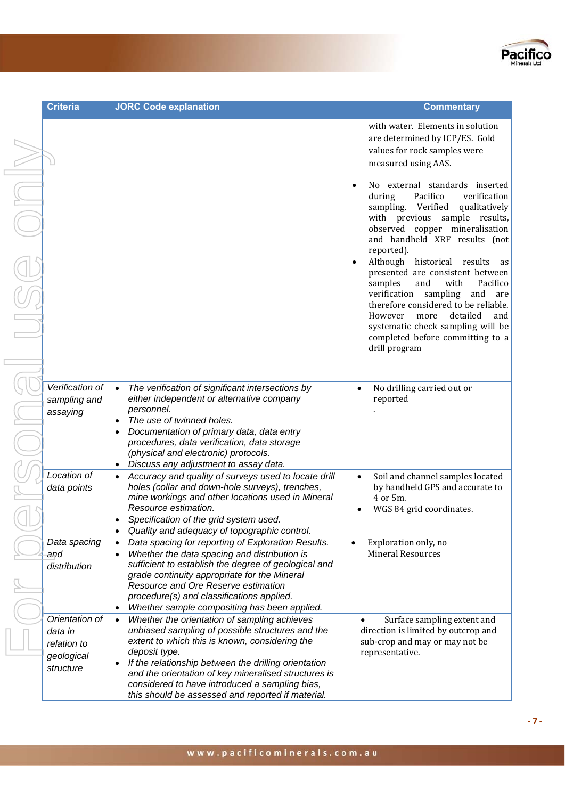

**Commentary** 

with water. Elements in solution are determined by ICP/ES. Gold values for rock samples were

 No external standards inserted during Pacifico verification sampling. Verified qualitatively with previous sample results, observed copper mineralisation and handheld XRF results (not

 Although historical results as presented are consistent between samples and with Pacifico verification sampling and are therefore considered to be reliable. However more detailed and systematic check sampling will be completed before committing to a

measured using AAS.

reported).

drill program

reported

4 or 5m.

 Exploration only, no Mineral Resources

representative.

.

No drilling carried out or

• Soil and channel samples located by handheld GPS and accurate to

WGS 84 grid coordinates.

• Surface sampling extent and direction is limited by outcrop and sub-crop and may or may not be

| <b>Criteria</b>                                                     | <b>JORC Code explanation</b>                                                                                                                                                                                                                                                                                                                                                                            |
|---------------------------------------------------------------------|---------------------------------------------------------------------------------------------------------------------------------------------------------------------------------------------------------------------------------------------------------------------------------------------------------------------------------------------------------------------------------------------------------|
|                                                                     |                                                                                                                                                                                                                                                                                                                                                                                                         |
| Verification of<br>sampling and<br>assaying                         | The verification of significant intersections by<br>$\bullet$<br>either independent or alternative company<br>personnel.<br>The use of twinned holes.<br>Documentation of primary data, data entry<br>procedures, data verification, data storage<br>(physical and electronic) protocols.<br>Discuss any adjustment to assay data.                                                                      |
| Location of<br>data points                                          | Accuracy and quality of surveys used to locate drill<br>holes (collar and down-hole surveys), trenches,<br>mine workings and other locations used in Mineral<br>Resource estimation.<br>Specification of the grid system used.<br>Quality and adequacy of topographic control.                                                                                                                          |
| Data spacing<br>and<br>distribution                                 | Data spacing for reporting of Exploration Results.<br>$\bullet$<br>Whether the data spacing and distribution is<br>٠<br>sufficient to establish the degree of geological and<br>grade continuity appropriate for the Mineral<br>Resource and Ore Reserve estimation<br>procedure(s) and classifications applied.<br>Whether sample compositing has been applied.                                        |
| Orientation of<br>data in<br>relation to<br>geological<br>structure | Whether the orientation of sampling achieves<br>$\bullet$<br>unbiased sampling of possible structures and the<br>extent to which this is known, considering the<br>deposit type.<br>If the relationship between the drilling orientation<br>and the orientation of key mineralised structures is<br>considered to have introduced a sampling bias,<br>this should be assessed and reported if material. |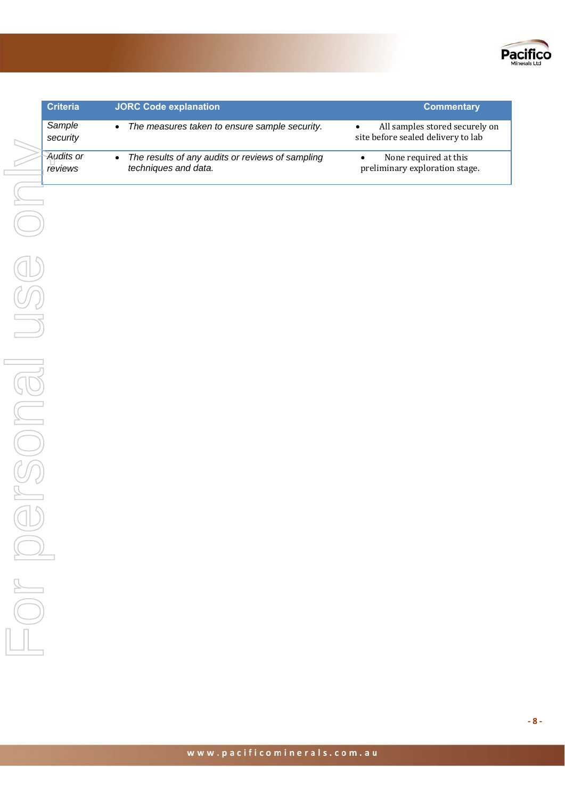

| <b>Criteria</b>      | <b>JORC Code explanation</b>                                                          | <b>Commentary</b>                                                    |
|----------------------|---------------------------------------------------------------------------------------|----------------------------------------------------------------------|
| Sample<br>security   | The measures taken to ensure sample security.<br>$\bullet$                            | All samples stored securely on<br>site before sealed delivery to lab |
| Audits or<br>reviews | The results of any audits or reviews of sampling<br>$\bullet$<br>techniques and data. | None required at this<br>preliminary exploration stage.              |
|                      |                                                                                       |                                                                      |
|                      |                                                                                       |                                                                      |
|                      |                                                                                       |                                                                      |
|                      |                                                                                       |                                                                      |
|                      |                                                                                       |                                                                      |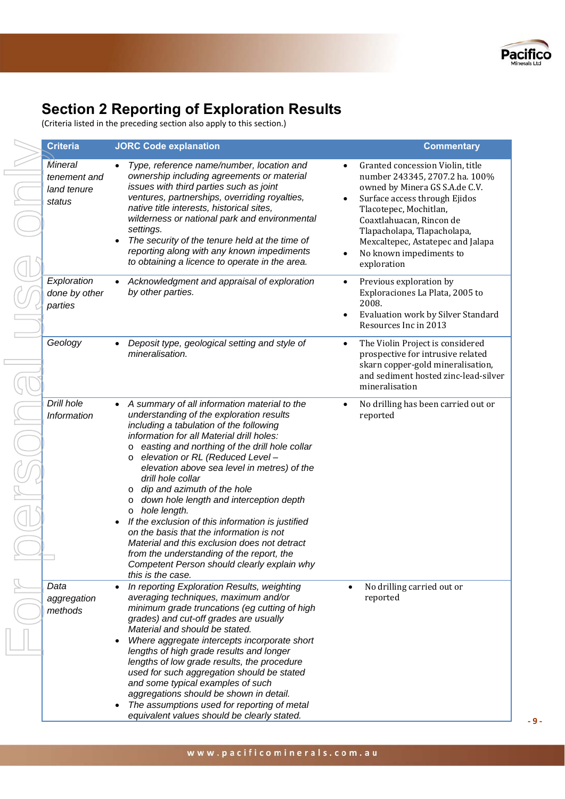

## **Section 2 Reporting of Exploration Results**

(Criteria listed in the preceding section also apply to this section.)

| <b>Criteria</b>                                  | <b>JORC Code explanation</b>                                                                                                                                                                                                                                                                                                                                                                                                                                                                                                                                                                                                                                                                                                                      | <b>Commentary</b>                                                                                                                                                                                                                                                                                         |
|--------------------------------------------------|---------------------------------------------------------------------------------------------------------------------------------------------------------------------------------------------------------------------------------------------------------------------------------------------------------------------------------------------------------------------------------------------------------------------------------------------------------------------------------------------------------------------------------------------------------------------------------------------------------------------------------------------------------------------------------------------------------------------------------------------------|-----------------------------------------------------------------------------------------------------------------------------------------------------------------------------------------------------------------------------------------------------------------------------------------------------------|
| Mineral<br>tenement and<br>land tenure<br>status | Type, reference name/number, location and<br>$\bullet$<br>ownership including agreements or material<br>issues with third parties such as joint<br>ventures, partnerships, overriding royalties,<br>native title interests, historical sites,<br>wilderness or national park and environmental<br>settings.<br>The security of the tenure held at the time of<br>$\bullet$<br>reporting along with any known impediments<br>to obtaining a licence to operate in the area.                                                                                                                                                                                                                                                                        | Granted concession Violin, title<br>number 243345, 2707.2 ha. 100%<br>owned by Minera GS S.A.de C.V.<br>Surface access through Ejidos<br>Tlacotepec, Mochitlan,<br>Coaxtlahuacan, Rincon de<br>Tlapacholapa, Tlapacholapa,<br>Mexcaltepec, Astatepec and Jalapa<br>No known impediments to<br>exploration |
| Exploration<br>done by other<br>parties          | Acknowledgment and appraisal of exploration<br>$\bullet$<br>by other parties.                                                                                                                                                                                                                                                                                                                                                                                                                                                                                                                                                                                                                                                                     | Previous exploration by<br>$\bullet$<br>Exploraciones La Plata, 2005 to<br>2008.<br>Evaluation work by Silver Standard<br>Resources Inc in 2013                                                                                                                                                           |
| Geology                                          | Deposit type, geological setting and style of<br>$\bullet$<br>mineralisation.                                                                                                                                                                                                                                                                                                                                                                                                                                                                                                                                                                                                                                                                     | The Violin Project is considered<br>$\bullet$<br>prospective for intrusive related<br>skarn copper-gold mineralisation,<br>and sediment hosted zinc-lead-silver<br>mineralisation                                                                                                                         |
| Drill hole<br>Information                        | A summary of all information material to the<br>understanding of the exploration results<br>including a tabulation of the following<br>information for all Material drill holes:<br>easting and northing of the drill hole collar<br>O<br>elevation or RL (Reduced Level -<br>O<br>elevation above sea level in metres) of the<br>drill hole collar<br>dip and azimuth of the hole<br>O<br>down hole length and interception depth<br>O<br>hole length.<br>$\circ$<br>If the exclusion of this information is justified<br>$\bullet$<br>on the basis that the information is not<br>Material and this exclusion does not detract<br>from the understanding of the report, the<br>Competent Person should clearly explain why<br>this is the case. | No drilling has been carried out or<br>reported                                                                                                                                                                                                                                                           |
| Data<br>aggregation<br>methods                   | In reporting Exploration Results, weighting<br>averaging techniques, maximum and/or<br>minimum grade truncations (eg cutting of high<br>grades) and cut-off grades are usually<br>Material and should be stated.<br>Where aggregate intercepts incorporate short<br>$\bullet$<br>lengths of high grade results and longer<br>lengths of low grade results, the procedure<br>used for such aggregation should be stated<br>and some typical examples of such<br>aggregations should be shown in detail.<br>The assumptions used for reporting of metal<br>equivalent values should be clearly stated.                                                                                                                                              | No drilling carried out or<br>reported                                                                                                                                                                                                                                                                    |

**‐ 9 ‐**